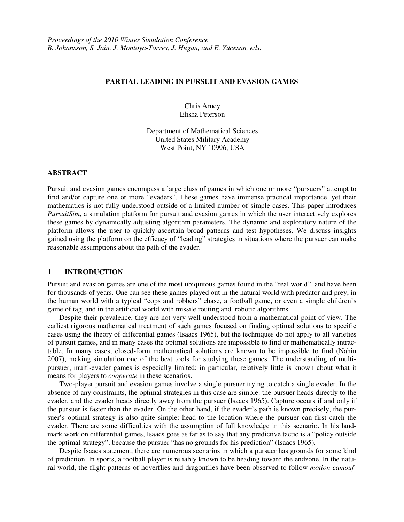## **PARTIAL LEADING IN PURSUIT AND EVASION GAMES**

Chris Arney Elisha Peterson

Department of Mathematical Sciences United States Military Academy West Point, NY 10996, USA

## **ABSTRACT**

Pursuit and evasion games encompass a large class of games in which one or more "pursuers" attempt to find and/or capture one or more "evaders". These games have immense practical importance, yet their mathematics is not fully-understood outside of a limited number of simple cases. This paper introduces *PursuitSim*, a simulation platform for pursuit and evasion games in which the user interactively explores these games by dynamically adjusting algorithm parameters. The dynamic and exploratory nature of the platform allows the user to quickly ascertain broad patterns and test hypotheses. We discuss insights gained using the platform on the efficacy of "leading" strategies in situations where the pursuer can make reasonable assumptions about the path of the evader.

## **1 INTRODUCTION**

Pursuit and evasion games are one of the most ubiquitous games found in the "real world", and have been for thousands of years. One can see these games played out in the natural world with predator and prey, in the human world with a typical "cops and robbers" chase, a football game, or even a simple children's game of tag, and in the artificial world with missile routing and robotic algorithms.

Despite their prevalence, they are not very well understood from a mathematical point-of-view. The earliest rigorous mathematical treatment of such games focused on finding optimal solutions to specific cases using the theory of differential games (Isaacs 1965), but the techniques do not apply to all varieties of pursuit games, and in many cases the optimal solutions are impossible to find or mathematically intractable. In many cases, closed-form mathematical solutions are known to be impossible to find (Nahin 2007), making simulation one of the best tools for studying these games. The understanding of multipursuer, multi-evader games is especially limited; in particular, relatively little is known about what it means for players to *cooperate* in these scenarios.

Two-player pursuit and evasion games involve a single pursuer trying to catch a single evader. In the absence of any constraints, the optimal strategies in this case are simple: the pursuer heads directly to the evader, and the evader heads directly away from the pursuer (Isaacs 1965). Capture occurs if and only if the pursuer is faster than the evader. On the other hand, if the evader's path is known precisely, the pursuer's optimal strategy is also quite simple: head to the location where the pursuer can first catch the evader. There are some difficulties with the assumption of full knowledge in this scenario. In his landmark work on differential games, Isaacs goes as far as to say that any predictive tactic is a "policy outside the optimal strategy", because the pursuer "has no grounds for his prediction" (Isaacs 1965).

Despite Isaacs statement, there are numerous scenarios in which a pursuer has grounds for some kind of prediction. In sports, a football player is reliably known to be heading toward the endzone. In the natural world, the flight patterns of hoverflies and dragonflies have been observed to follow *motion camouf-*